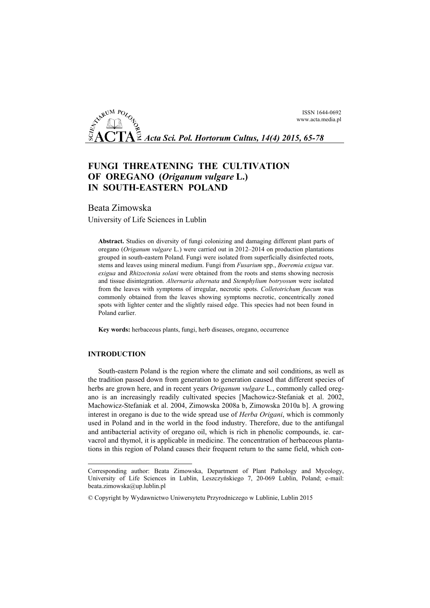ISSN 1644-0692 www.acta.media.pl

*Acta Sci. Pol. Hortorum Cultus, 14(4) 2015, 65-78*

# **FUNGI THREATENING THE CULTIVATION OF OREGANO (***Origanum vulgare* **L.) IN SOUTH-EASTERN POLAND**

# Beata Zimowska

University of Life Sciences in Lublin

**Abstract.** Studies on diversity of fungi colonizing and damaging different plant parts of oregano (*Origanum vulgare* L.) were carried out in 2012–2014 on production plantations grouped in south-eastern Poland. Fungi were isolated from superficially disinfected roots, stems and leaves using mineral medium. Fungi from *Fusarium* spp., *Boeremia exigua* var. *exigua* and *Rhizoctonia solani* were obtained from the roots and stems showing necrosis and tissue disintegration. *Alternaria alternata* and *Stemphylium botryosum* were isolated from the leaves with symptoms of irregular, necrotic spots. *Colletotrichum fuscum* was commonly obtained from the leaves showing symptoms necrotic, concentrically zoned spots with lighter center and the slightly raised edge. This species had not been found in Poland earlier.

**Key words:** herbaceous plants, fungi, herb diseases, oregano, occurrence

# **INTRODUCTION**

-

South-eastern Poland is the region where the climate and soil conditions, as well as the tradition passed down from generation to generation caused that different species of herbs are grown here, and in recent years *Origanum vulgare* L., commonly called oregano is an increasingly readily cultivated species [Machowicz-Stefaniak et al. 2002, Machowicz-Stefaniak et al. 2004, Zimowska 2008a b, Zimowska 2010a b]. A growing interest in oregano is due to the wide spread use of *Herba Origani*, which is commonly used in Poland and in the world in the food industry. Therefore, due to the antifungal and antibacterial activity of oregano oil, which is rich in phenolic compounds, ie. carvacrol and thymol, it is applicable in medicine. The concentration of herbaceous plantations in this region of Poland causes their frequent return to the same field, which con-

Corresponding author: Beata Zimowska, Department of Plant Pathology and Mycology, University of Life Sciences in Lublin, Leszczyńskiego 7, 20-069 Lublin, Poland; e-mail: beata.zimowska@up.lublin.pl

<sup>©</sup> Copyright by Wydawnictwo Uniwersytetu Przyrodniczego w Lublinie, Lublin 2015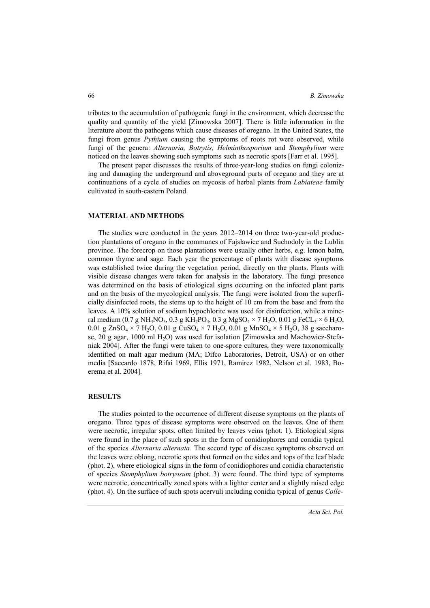tributes to the accumulation of pathogenic fungi in the environment, which decrease the quality and quantity of the yield [Zimowska 2007]. There is little information in the literature about the pathogens which cause diseases of oregano. In the United States, the fungi from genus *Pythium* causing the symptoms of roots rot were observed, while fungi of the genera: *Alternaria, Botrytis, Helminthosporium* and *Stemphylium* were noticed on the leaves showing such symptoms such as necrotic spots [Farr et al. 1995].

The present paper discusses the results of three-year-long studies on fungi colonizing and damaging the underground and aboveground parts of oregano and they are at continuations of a cycle of studies on mycosis of herbal plants from *Labiateae* family cultivated in south-eastern Poland.

# **MATERIAL AND METHODS**

The studies were conducted in the years 2012–2014 on three two-year-old production plantations of oregano in the communes of Fajsławice and Suchodoły in the Lublin province. The forecrop on those plantations were usually other herbs, e.g. lemon balm, common thyme and sage. Each year the percentage of plants with disease symptoms was established twice during the vegetation period, directly on the plants. Plants with visible disease changes were taken for analysis in the laboratory. The fungi presence was determined on the basis of etiological signs occurring on the infected plant parts and on the basis of the mycological analysis. The fungi were isolated from the superficially disinfected roots, the stems up to the height of 10 cm from the base and from the leaves. A 10% solution of sodium hypochlorite was used for disinfection, while a mineral medium (0.7 g NH<sub>4</sub>NO<sub>3</sub>, 0.3 g KH<sub>2</sub>PO<sub>4</sub>, 0.3 g MgSO<sub>4</sub>  $\times$  7 H<sub>2</sub>O, 0.01 g FeCL<sub>3</sub>  $\times$  6 H<sub>2</sub>O, 0.01 g ZnSO<sub>4</sub>  $\times$  7 H<sub>2</sub>O, 0.01 g CuSO<sub>4</sub>  $\times$  7 H<sub>2</sub>O, 0.01 g MnSO<sub>4</sub>  $\times$  5 H<sub>2</sub>O, 38 g saccharose, 20 g agar, 1000 ml H<sub>2</sub>O) was used for isolation [Zimowska and Machowicz-Stefaniak 2004]. After the fungi were taken to one-spore cultures, they were taxonomically identified on malt agar medium (MA; Difco Laboratories, Detroit, USA) or on other media [Saccardo 1878, Rifai 1969, Ellis 1971, Ramirez 1982, Nelson et al. 1983, Boerema et al. 2004].

#### **RESULTS**

The studies pointed to the occurrence of different disease symptoms on the plants of oregano. Three types of disease symptoms were observed on the leaves. One of them were necrotic, irregular spots, often limited by leaves veins (phot. 1). Etiological signs were found in the place of such spots in the form of conidiophores and conidia typical of the species *Alternaria alternata.* The second type of disease symptoms observed on the leaves were oblong, necrotic spots that formed on the sides and tops of the leaf blade (phot. 2), where etiological signs in the form of conidiophores and conidia characteristic of species *Stemphylium botryosum* (phot. 3) were found. The third type of symptoms were necrotic, concentrically zoned spots with a lighter center and a slightly raised edge (phot. 4). On the surface of such spots acervuli including conidia typical of genus *Colle-*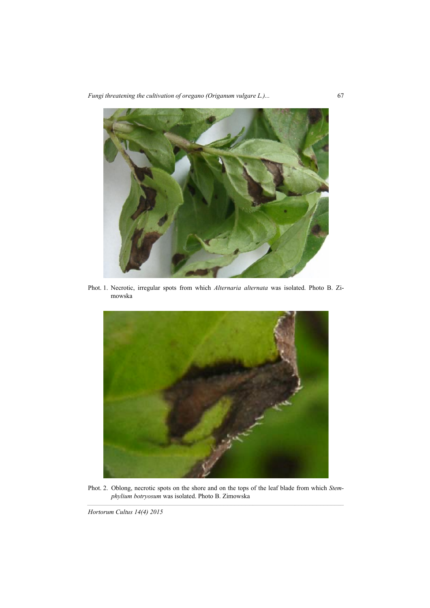*Fungi threatening the cultivation of oregano (Origanum vulgare L.)...* 67



Phot. 1. Necrotic, irregular spots from which *Alternaria alternata* was isolated. Photo B. Zimowska



Phot. 2. Oblong, necrotic spots on the shore and on the tops of the leaf blade from which *Stemphylium botryosum* was isolated. Photo B. Zimowska

*Hortorum Cultus 14(4) 2015*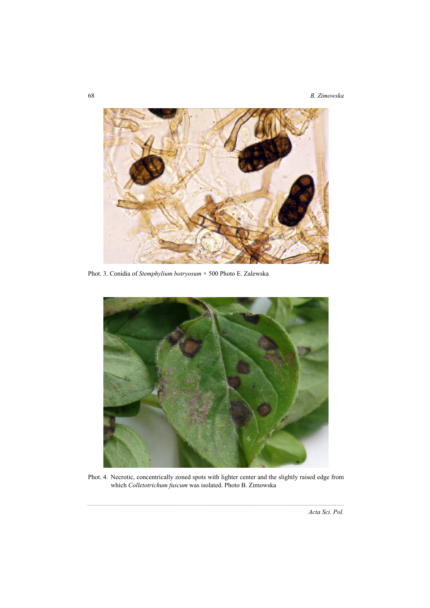

Phot. 3. Conidia of *Stemphylium botryosum* × 500 Photo E. Zalewska



Phot. 4. Necrotic, concentrically zoned spots with lighter center and the slightly raised edge from which *Colletotrichum fuscum* was isolated. Photo B. Zimowska

*Acta Sci. Pol.*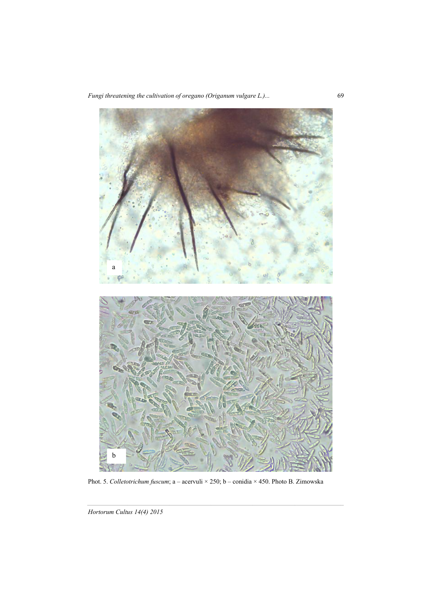*Fungi threatening the cultivation of oregano (Origanum vulgare L.)...* 69



Phot. 5. *Colletotrichum fuscum*; a – acervuli × 250; b – conidia × 450. Photo B. Zimowska

*Hortorum Cultus 14(4) 2015*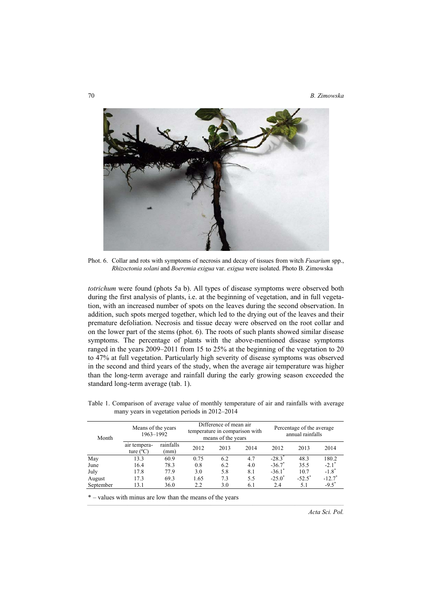

Phot. 6. Collar and rots with symptoms of necrosis and decay of tissues from witch *Fusarium* spp., *Rhizoctonia solani* and *Boeremia exigua* var. *exigua* were isolated. Photo B. Zimowska

*totrichum* were found (phots 5a b). All types of disease symptoms were observed both during the first analysis of plants, i.e. at the beginning of vegetation, and in full vegetation, with an increased number of spots on the leaves during the second observation. In addition, such spots merged together, which led to the drying out of the leaves and their premature defoliation. Necrosis and tissue decay were observed on the root collar and on the lower part of the stems (phot. 6). The roots of such plants showed similar disease symptoms. The percentage of plants with the above-mentioned disease symptoms ranged in the years 2009–2011 from 15 to 25% at the beginning of the vegetation to 20 to 47% at full vegetation. Particularly high severity of disease symptoms was observed in the second and third years of the study, when the average air temperature was higher than the long-term average and rainfall during the early growing season exceeded the standard long-term average (tab. 1).

| Month     | Means of the years<br>1963-1992    |                   | Difference of mean air<br>temperature in comparison with<br>means of the years |      |      | Percentage of the average<br>annual rainfalls |           |                      |
|-----------|------------------------------------|-------------------|--------------------------------------------------------------------------------|------|------|-----------------------------------------------|-----------|----------------------|
|           | air tempera-<br>ture $(^{\circ}C)$ | rainfalls<br>(mm) | 2012                                                                           | 2013 | 2014 | 2012                                          | 2013      | 2014                 |
| May       | 13.3                               | 60.9              | 0.75                                                                           | 6.2  | 4.7  | $-28.3^*$                                     | 48.3      | 180.2                |
| June      | 16.4                               | 78.3              | 0.8                                                                            | 6.2  | 4.0  | $-36.7$ <sup>*</sup>                          | 35.5      | $-2.1$ <sup>*</sup>  |
| July      | 17.8                               | 77.9              | 3.0                                                                            | 5.8  | 8.1  | $-36.1$ <sup>*</sup>                          | 10.7      | $-1.8$ <sup>*</sup>  |
| August    | 17.3                               | 69.3              | 1.65                                                                           | 7.3  | 5.5  | $-25.0^{\degree}$                             | $-52.5$ * | $-12.7$ <sup>*</sup> |
| September | 13.1                               | 36.0              | 2.2                                                                            | 3.0  | 6.1  | 2.4                                           | 5.1       | $-9.5^*$             |

Table 1. Comparison of average value of monthly temperature of air and rainfalls with average many years in vegetation periods in 2012–2014

\* – values with minus are low than the means of the years

*Acta Sci. Pol.*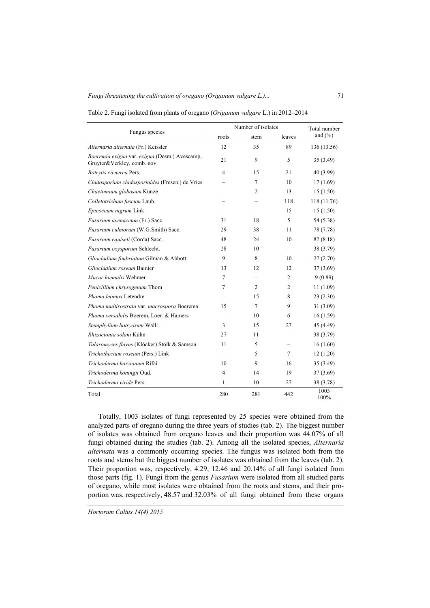|                                                                              | Number of isolates | Total number   |                |              |  |
|------------------------------------------------------------------------------|--------------------|----------------|----------------|--------------|--|
| Fungus species                                                               | roots              | stem<br>leaves |                | and $(\% )$  |  |
| Alternaria alternata (Fr.) Keissler                                          | 12                 | 35             | 89             | 136 (13.56)  |  |
| Boeremia exigua var. exigua (Desm.) Avescamp,<br>Gruyter&Verkley, comb. nov. | 21                 | 9              | 5              | 35 (3.49)    |  |
| Botrytis cienerea Pers.                                                      | 4                  | 15             | 21             | 40 (3.99)    |  |
| Cladosporium cladosporioides (Fresen.) de Vries                              |                    | 7              | 10             | 17(1.69)     |  |
| Chaetomium globosum Kunze                                                    |                    | 2              | 13             | 15(1.50)     |  |
| Colletotrichum fuscum Laub.                                                  |                    |                | 118            | 118 (11.76)  |  |
| Epicoccum nigrum Link                                                        |                    |                | 15             | 15(1.50)     |  |
| Fusarium avenaceum (Fr.) Sacc.                                               | 31                 | 18             | 5              | 54 (5.38)    |  |
| Fusarium culmorum (W.G.Smith) Sacc.                                          | 29                 | 38             | 11             | 78 (7.78)    |  |
| Fusarium equiseti (Corda) Sacc.                                              | 48                 | 24             | 10             | 82(8.18)     |  |
| Fusarium oxysporum Schlecht.                                                 | 28                 | 10             |                | 38 (3.79)    |  |
| Gliocladium fimbriatum Gilman & Abbott                                       | 9                  | 8              | 10             | 27(2.70)     |  |
| Gliocladium roseum Bainier                                                   | 13                 | 12             | 12             | 37(3.69)     |  |
| Mucor hiemalis Wehmer                                                        | 7                  |                | $\overline{c}$ | 9(0.89)      |  |
| Penicillium chrysogenum Thom                                                 | 7                  | 2              | 2              | 11(1.09)     |  |
| Phoma leonuri Letendre                                                       |                    | 15             | 8              | 23(2.30)     |  |
| Phoma multirostrata var. macrospora Boerema                                  | 15                 | 7              | 9              | 31(3.09)     |  |
| Phoma versabilis Boerem, Loer. & Hamers                                      |                    | 10             | 6              | 16(1.59)     |  |
| Stemphylium botryosum Wallr.                                                 | 3                  | 15             | 27             | 45 (4.49)    |  |
| <i>Rhizoctonia solani</i> Kühn                                               | 27                 | 11             |                | 38 (3.79)    |  |
| Talaromyces flavus (Klöcker) Stolk & Samson                                  | 11                 | 5              |                | 16(1.60)     |  |
| Trichothecium roseum (Pers.) Link                                            |                    | 5              | 7              | 12(1.20)     |  |
| Trichoderma harzianum Rifai                                                  | 10                 | 9              | 16             | 35(3.49)     |  |
| Trichoderma koningii Oud.                                                    | 4                  | 14             | 19             | 37(3.69)     |  |
| Trichoderma viride Pers.                                                     | 1                  | 10             | 27             | 38 (3.78)    |  |
| Total                                                                        | 280                | 281            | 442            | 1003<br>100% |  |

Table 2. Fungi isolated from plants of oregano (*Origanum vulgare* L.) in 2012–2014

Totally, 1003 isolates of fungi represented by 25 species were obtained from the analyzed parts of oregano during the three years of studies (tab. 2). The biggest number of isolates was obtained from oregano leaves and their proportion was 44.07% of all fungi obtained during the studies (tab. 2). Among all the isolated species, *Alternaria alternata* was a commonly occurring species. The fungus was isolated both from the roots and stems but the biggest number of isolates was obtained from the leaves (tab. 2). Their proportion was, respectively, 4.29, 12.46 and 20.14% of all fungi isolated from those parts (fig. 1). Fungi from the genus *Fusarium* were isolated from all studied parts of oregano, while most isolates were obtained from the roots and stems, and their proportion was, respectively, 48.57 and 32.03% of all fungi obtained from these organs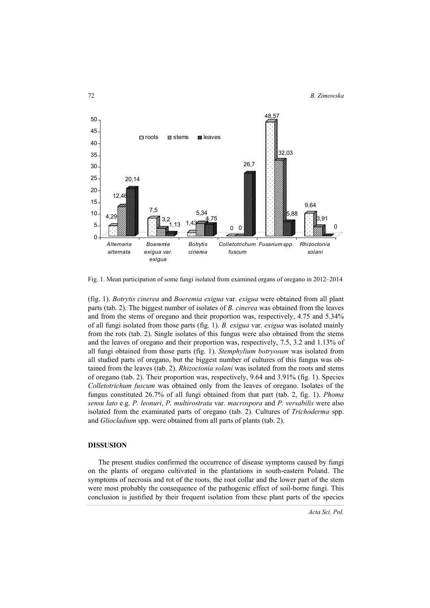

Fig. 1. Mean participation of some fungi isolated from examined organs of oregano in 2012–2014

(fig. 1). *Botrytis cinerea* and *Boeremia exigua* var. *exigua* were obtained from all plant parts (tab. 2). The biggest number of isolates of *B. cinerea* was obtained from the leaves and from the stems of oregano and their proportion was, respectively, 4.75 and 5.34% of all fungi isolated from those parts (fig. 1). *B. exigua* var. *exigua* was isolated mainly from the rots (tab. 2). Single isolates of this fungus were also obtained from the stems and the leaves of oregano and their proportion was, respectively, 7.5, 3.2 and 1.13% of all fungi obtained from those parts (fig. 1). *Stemphylium botryosum* was isolated from all studied parts of oregano, but the biggest number of cultures of this fungus was obtained from the leaves (tab. 2). *Rhizoctonia solani* was isolated from the roots and stems of oregano (tab. 2). Their proportion was, respectively, 9.64 and 3.91% (fig. 1). Species *Colletotrichum fuscum* was obtained only from the leaves of oregano. Isolates of the fungus constituted 26.7% of all fungi obtained from that part (tab. 2, fig. 1). *Phoma sensu lato* e.g. *P. leonuri*, *P. multirostrata* var. *macrospora* and *P. versabilis* were also isolated from the examinated parts of oregano (tab. 2). Cultures of *Trichoderma* spp. and *Gliocladium* spp. were obtained from all parts of plants (tab. 2).

# **DISSUSION**

The present studies confirmed the occurrence of disease symptoms caused by fungi on the plants of oregano cultivated in the plantations in south-eastern Poland. The symptoms of necrosis and rot of the roots, the root collar and the lower part of the stem were most probably the consequence of the pathogenic effect of soil-borne fungi. This conclusion is justified by their frequent isolation from these plant parts of the species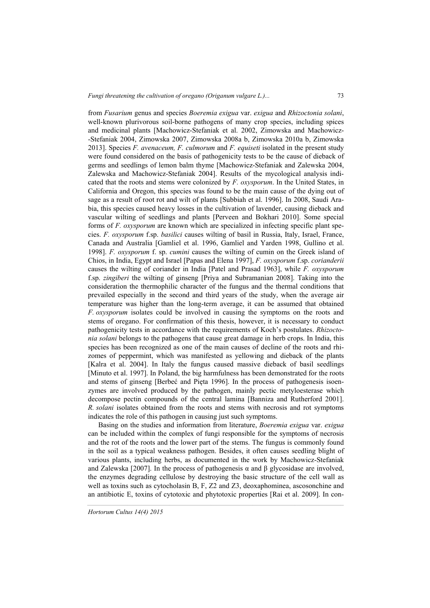from *Fusarium* genus and species *Boeremia exigua* var. *exigua* and *Rhizoctonia solani*, well-known plurivorous soil-borne pathogens of many crop species, including spices and medicinal plants [Machowicz-Stefaniak et al. 2002, Zimowska and Machowicz- -Stefaniak 2004, Zimowska 2007, Zimowska 2008a b, Zimowska 2010a b, Zimowska 2013]. Species *F. avenaceum, F. culmorum* and *F. equiseti* isolated in the present study were found considered on the basis of pathogenicity tests to be the cause of dieback of germs and seedlings of lemon balm thyme [Machowicz-Stefaniak and Zalewska 2004, Zalewska and Machowicz-Stefaniak 2004]. Results of the mycological analysis indicated that the roots and stems were colonized by *F. oxysporum*. In the United States, in California and Oregon, this species was found to be the main cause of the dying out of sage as a result of root rot and wilt of plants [Subbiah et al. 1996]. In 2008, Saudi Arabia, this species caused heavy losses in the cultivation of lavender, causing dieback and vascular wilting of seedlings and plants [Perveen and Bokhari 2010]. Some special forms of *F. oxysporum* are known which are specialized in infecting specific plant species. *F. oxysporum* f.sp. *basilici* causes wilting of basil in Russia, Italy, Israel, France, Canada and Australia [Gamliel et al. 1996, Gamliel and Yarden 1998, Gullino et al. 1998]. *F. oxysporum* f. sp. *cumini* causes the wilting of cumin on the Greek island of Chios, in India, Egypt and Israel [Papas and Elena 1997], *F. oxysporum* f.sp. *corianderii*  causes the wilting of coriander in India [Patel and Prasad 1963], while *F. oxysporum* f.sp. *zingiberi* the wilting of ginseng [Priya and Subramanian 2008]. Taking into the consideration the thermophilic character of the fungus and the thermal conditions that prevailed especially in the second and third years of the study, when the average air temperature was higher than the long-term average, it can be assumed that obtained *F. oxysporum* isolates could be involved in causing the symptoms on the roots and stems of oregano. For confirmation of this thesis, however, it is necessary to conduct pathogenicity tests in accordance with the requirements of Koch's postulates. *Rhizoctonia solani* belongs to the pathogens that cause great damage in herb crops. In India, this species has been recognized as one of the main causes of decline of the roots and rhizomes of peppermint, which was manifested as yellowing and dieback of the plants [Kalra et al. 2004]. In Italy the fungus caused massive dieback of basil seedlings [Minuto et al. 1997]. In Poland, the big harmfulness has been demonstrated for the roots and stems of ginseng [Berbeć and Pięta 1996]. In the process of pathogenesis isoenzymes are involved produced by the pathogen, mainly pectic metyloesterase which decompose pectin compounds of the central lamina [Banniza and Rutherford 2001]. *R. solani* isolates obtained from the roots and stems with necrosis and rot symptoms indicates the role of this pathogen in causing just such symptoms.

Basing on the studies and information from literature, *Boeremia exigua* var. *exigua* can be included within the complex of fungi responsible for the symptoms of necrosis and the rot of the roots and the lower part of the stems. The fungus is commonly found in the soil as a typical weakness pathogen. Besides, it often causes seedling blight of various plants, including herbs, as documented in the work by Machowicz-Stefaniak and Zalewska [2007]. In the process of pathogenesis  $\alpha$  and β glycosidase are involved, the enzymes degrading cellulose by destroying the basic structure of the cell wall as well as toxins such as cytocholasin B, F, Z2 and Z3, deoxaphominea, ascosonchine and an antibiotic E, toxins of cytotoxic and phytotoxic properties [Rai et al. 2009]. In con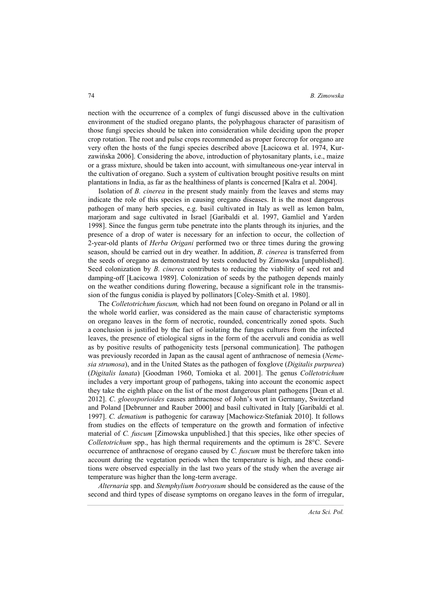nection with the occurrence of a complex of fungi discussed above in the cultivation environment of the studied oregano plants, the polyphagous character of parasitism of those fungi species should be taken into consideration while deciding upon the proper crop rotation. The root and pulse crops recommended as proper forecrop for oregano are very often the hosts of the fungi species described above [Łacicowa et al. 1974, Kurzawińska 2006]. Considering the above, introduction of phytosanitary plants, i.e., maize or a grass mixture, should be taken into account, with simultaneous one-year interval in the cultivation of oregano. Such a system of cultivation brought positive results on mint plantations in India, as far as the healthiness of plants is concerned [Kalra et al. 2004].

Isolation of *B. cinerea* in the present study mainly from the leaves and stems may indicate the role of this species in causing oregano diseases. It is the most dangerous pathogen of many herb species, e.g. basil cultivated in Italy as well as lemon balm, marjoram and sage cultivated in Israel [Garibaldi et al. 1997, Gamliel and Yarden 1998]. Since the fungus germ tube penetrate into the plants through its injuries, and the presence of a drop of water is necessary for an infection to occur, the collection of 2-year-old plants of *Herba Origani* performed two or three times during the growing season, should be carried out in dry weather. In addition, *B. cinerea* is transferred from the seeds of oregano as demonstrated by tests conducted by Zimowska [unpublished]. Seed colonization by *B. cinerea* contributes to reducing the viability of seed rot and damping-off [Łacicowa 1989]. Colonization of seeds by the pathogen depends mainly on the weather conditions during flowering, because a significant role in the transmission of the fungus conidia is played by pollinators [Coley-Smith et al. 1980].

The *Colletotrichum fuscum,* which had not been found on oregano in Poland or all in the whole world earlier, was considered as the main cause of characteristic symptoms on oregano leaves in the form of necrotic, rounded, concentrically zoned spots. Such a conclusion is justified by the fact of isolating the fungus cultures from the infected leaves, the presence of etiological signs in the form of the acervuli and conidia as well as by positive results of pathogenicity tests [personal communication]. The pathogen was previously recorded in Japan as the causal agent of anthracnose of nemesia (*Nemesia strumosa*), and in the United States as the pathogen of foxglove (*Digitalis purpurea*) (*Digitalis lanata*) [Goodman 1960, Tomioka et al. 2001]. The genus *Colletotrichum* includes a very important group of pathogens, taking into account the economic aspect they take the eighth place on the list of the most dangerous plant pathogens [Dean et al. 2012]. *C*. *gloeosporioides* causes anthracnose of John's wort in Germany, Switzerland and Poland [Debrunner and Rauber 2000] and basil cultivated in Italy [Garibaldi et al. 1997]. *C. dematium* is pathogenic for caraway [Machowicz-Stefaniak 2010]. It follows from studies on the effects of temperature on the growth and formation of infective material of *C. fuscum* [Zimowska unpublished.] that this species, like other species of *Colletotrichum* spp., has high thermal requirements and the optimum is 28°C. Severe occurrence of anthracnose of oregano caused by *C. fuscum* must be therefore taken into account during the vegetation periods when the temperature is high, and these conditions were observed especially in the last two years of the study when the average air temperature was higher than the long-term average.

*Alternaria* spp. and *Stemphylium botryosum* should be considered as the cause of the second and third types of disease symptoms on oregano leaves in the form of irregular,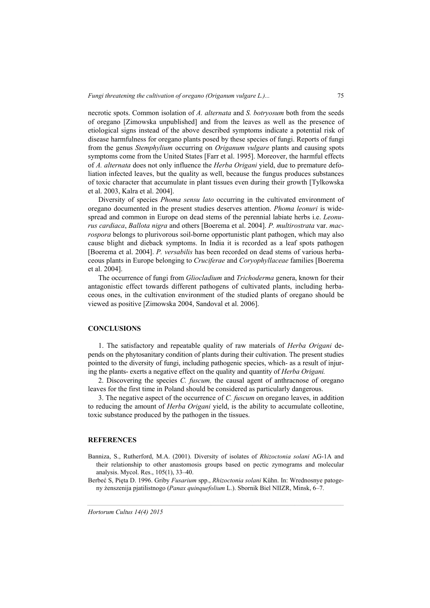necrotic spots. Common isolation of *A. alternata* and *S. botryosum* both from the seeds of oregano [Zimowska unpublished] and from the leaves as well as the presence of etiological signs instead of the above described symptoms indicate a potential risk of disease harmfulness for oregano plants posed by these species of fungi. Reports of fungi from the genus *Stemphylium* occurring on *Origanum vulgare* plants and causing spots symptoms come from the United States [Farr et al. 1995]. Moreover, the harmful effects of *A. alternata* does not only influence the *Herba Origani* yield, due to premature defoliation infected leaves, but the quality as well, because the fungus produces substances of toxic character that accumulate in plant tissues even during their growth [Tylkowska et al. 2003, Kalra et al. 2004].

Diversity of species *Phoma sensu lato* occurring in the cultivated environment of oregano documented in the present studies deserves attention. *Phoma leonuri* is widespread and common in Europe on dead stems of the perennial labiate herbs i.e. *Leonurus cardiaca*, *Ballota nigra* and others [Boerema et al. 2004]. *P. multirostrata* var. *macrospora* belongs to plurivorous soil-borne opportunistic plant pathogen, which may also cause blight and dieback symptoms. In India it is recorded as a leaf spots pathogen [Boerema et al. 2004]. *P. versabilis* has been recorded on dead stems of various herbaceous plants in Europe belonging to *Cruciferae* and *Coryophyllaceae* families [Boerema et al. 2004].

The occurrence of fungi from *Gliocladium* and *Trichoderma* genera, known for their antagonistic effect towards different pathogens of cultivated plants, including herbaceous ones, in the cultivation environment of the studied plants of oregano should be viewed as positive [Zimowska 2004, Sandoval et al. 2006].

### **CONCLUSIONS**

1. The satisfactory and repeatable quality of raw materials of *Herba Origani* depends on the phytosanitary condition of plants during their cultivation. The present studies pointed to the diversity of fungi, including pathogenic species, which- as a result of injuring the plants- exerts a negative effect on the quality and quantity of *Herba Origani.*

2. Discovering the species *C. fuscum,* the causal agent of anthracnose of oregano leaves for the first time in Poland should be considered as particularly dangerous.

3. The negative aspect of the occurrence of *C. fuscum* on oregano leaves, in addition to reducing the amount of *Herba Origani* yield, is the ability to accumulate colleotine, toxic substance produced by the pathogen in the tissues.

#### **REFERENCES**

- Banniza, S., Rutherford, M.A. (2001). Diversity of isolates of *Rhizoctonia solani* AG-1A and their relationship to other anastomosis groups based on pectic zymograms and molecular analysis. Mycol. Res., 105(1), 33–40.
- Berbeć S, Pięta D. 1996. Griby *Fusarium* spp., *Rhizoctonia solani* Kühn. In: Wrednosnye patogeny żenszenija pjatilistnogo (*Panax quinquefolium* L.). Sbornik Biel NIIZR, Minsk, 6–7.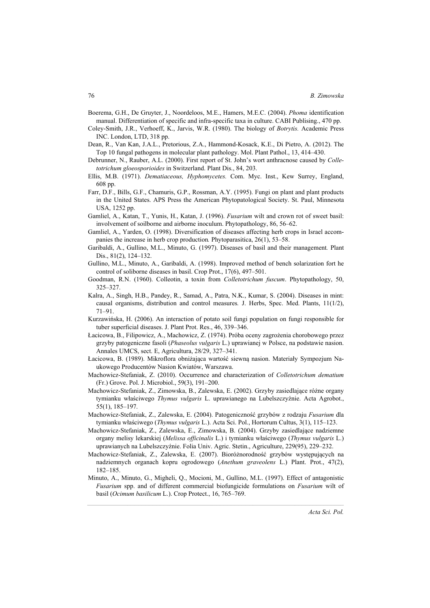- Boerema, G.H., De Gruyter, J., Noordeloos, M.E., Hamers, M.E.C. (2004). *Phoma* identification manual. Differentiation of specific and infra-specific taxa in culture. CABI Publising., 470 pp.
- Coley-Smith, J.R., Verhoeff, K., Jarvis, W.R. (1980). The biology of *Botrytis.* Academic Press INC. London, LTD, 318 pp.
- Dean, R., Van Kan, J.A.L., Pretorious, Z.A., Hammond-Kosack, K.E., Di Pietro, A. (2012). The Top 10 fungal pathogens in molecular plant pathology. Mol. Plant Pathol., 13, 414–430.
- Debrunner, N., Rauber, A.L. (2000). First report of St. John's wort anthracnose caused by *Colletotrichum gloeosporioides* in Switzerland. Plant Dis., 84, 203.
- Ellis, M.B. (1971). *Dematiaceous, Hyphomycetes.* Com. Myc. Inst., Kew Surrey, England, 608 pp.
- Farr, D.F., Bills, G.F., Chamuris, G.P., Rossman, A.Y. (1995). Fungi on plant and plant products in the United States. APS Press the American Phytopatological Society. St. Paul, Minnesota USA, 1252 pp.
- Gamliel, A., Katan, T., Yunis, H., Katan, J. (1996). *Fusarium* wilt and crown rot of sweet basil: involvement of soilborne and airborne inoculum. Phytopathology, 86, 56–62.
- Gamliel, A., Yarden, O. (1998). Diversification of diseases affecting herb crops in Israel accompanies the increase in herb crop production*.* Phytoparasitica, 26(1), 53–58.
- Garibaldi, A., Gullino, M.L., Minuto, G. (1997). Diseases of basil and their management*.* Plant Dis., 81(2), 124–132.
- Gullino, M.L., Minuto, A., Garibaldi, A. (1998). Improved method of bench solarization fort he control of soliborne diseases in basil. Crop Prot., 17(6), 497–501.
- Goodman, R.N. (1960). Colleotin, a toxin from *Colletotrichum fuscum*. Phytopathology, 50, 325–327.
- Kalra, A., Singh, H.B., Pandey, R., Samad, A., Patra, N.K., Kumar, S. (2004). Diseases in mint: causal organisms, distribution and control measures*.* J. Herbs, Spec. Med. Plants, 11(1/2), 71–91.
- Kurzawińska, H. (2006). An interaction of potato soil fungi population on fungi responsible for tuber superficial diseases. J. Plant Prot. Res., 46, 339–346.
- Łacicowa, B., Filipowicz, A., Machowicz, Z. (1974). Próba oceny zagrożenia chorobowego przez grzyby patogeniczne fasoli (*Phaseolus vulgaris* L.) uprawianej w Polsce, na podstawie nasion. Annales UMCS, sect. E, Agricultura, 28/29, 327–341.
- Łacicowa, B. (1989). Mikroflora obniżająca wartość siewną nasion. Materiały Sympozjum Naukowego Producentów Nasion Kwiatów, Warszawa.
- Machowicz-Stefaniak, Z. (2010). Occurrence and characterization of *Colletotrichum dematium* (Fr.) Grove. Pol. J. Microbiol., 59(3), 191–200.
- Machowicz-Stefaniak, Z., Zimowska, B., Zalewska, E. (2002). Grzyby zasiedlające różne organy tymianku właściwego *Thymus vulgaris* L. uprawianego na Lubelszczyźnie. Acta Agrobot., 55(1), 185–197.
- Machowicz-Stefaniak, Z., Zalewska, E. (2004). Patogeniczność grzybów z rodzaju *Fusarium* dla tymianku właściwego (*Thymus vulgaris* L.). Acta Sci. Pol., Hortorum Cultus, 3(1), 115–123.
- Machowicz-Stefaniak, Z., Zalewska, E., Zimowska, B. (2004). Grzyby zasiedlające nadziemne organy melisy lekarskiej (*Melissa officinalis* L.) i tymianku właściwego (*Thymus vulgaris* L.) uprawianych na Lubelszczyźnie. Folia Univ. Agric. Stetin., Agriculture, 229(95), 229–232.
- Machowicz-Stefaniak, Z., Zalewska, E. (2007). Bioróżnorodność grzybów występujących na nadziemnych organach kopru ogrodowego (*Anethum graveolens* L.) Plant. Prot., 47(2), 182–185.
- Minuto, A., Minuto, G., Migheli, Q., Mocioni, M., Gullino, M.L. (1997). Effect of antagonistic *Fusarium* spp. and of different commercial biofungicide formulations on *Fusarium* wilt of basil (*Ocimum basilicum* L.). Crop Protect., 16, 765–769.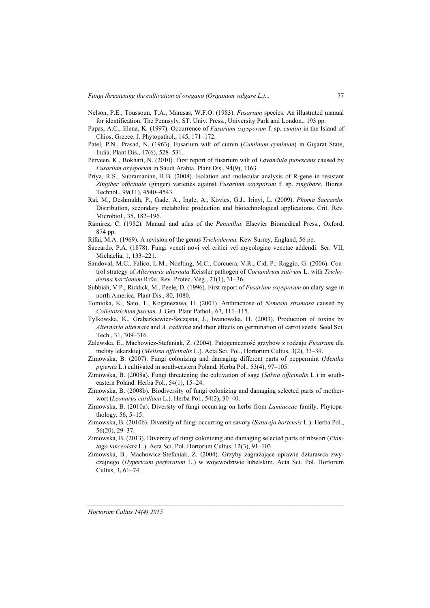- Nelson, P.E., Toussoun, T.A., Marasas, W.F.O. (1983). *Fusarium* species. An illustrated manual for identification. The Pennsylv. ST. Univ. Press., University Park and London., 193 pp.
- Papas, A.C., Elena, K. (1997). Occurrence of *Fusarium oxysporum* f. sp. *cumini* in the Island of Chios, Greece. J. Phytopathol., 145, 171–172.
- Patel, P.N., Prasad, N. (1963). Fusarium wilt of cumin (*Cuminum cyminum*) in Gujarat State, India. Plant Dis., 47(6), 528–531.
- Perveen, K., Bokhari, N. (2010). First report of fusarium wilt of *Lavandula pubescens* caused by *Fusarium oxysporum* in Saudi Arabia. Plant Dis., 94(9), 1163.
- Priya, R.S., Subramanian, R.B. (2008). Isolation and molecular analysis of R-gene in resistant *Zingiber officinale* (ginger) varieties against *Fusarium oxysporum* f. sp. *zingibare*. Biores. Technol., 99(11), 4540–4543.
- Rai, M., Deshmukh, P., Gade, A., Ingle, A., Kӧvics, G.J., Irinyi, L. (2009). *Phoma Saccardo*: Distribution, secondary metabolite production and biotechnological applications. Crit. Rev. Microbiol., 35, 182–196.
- Ramirez, C. (1982). Manual and atlas of the *Penicillia.* Elsevier Biomedical Press., Oxford, 874 pp.
- Rifai, M.A. (1969). A revision of the genus *Trichoderma.* Kew Surrey, England, 56 pp.
- Saccardo, P.A. (1878). Fungi veneti novi vel critici vel mycologiae venetae addendi: Ser. VII, Michaelia, 1, 133–221.
- Sandoval, M.C., Falico, L.M., Noelting, M.C., Corcuera, V.R., Cid, P., Raggio, G. (2006). Control strategy of *Alternaria alternata* Keissler pathogen of *Coriandrum sativum* L. with *Trichoderma harzianum* Rifai*.* Rev. Protec. Veg., 21(1), 31–36.
- Subbiah, V.P., Riddick, M., Peele, D. (1996). First report of *Fusarium oxysporum* on clary sage in north America. Plant Dis., 80, 1080.
- Tomioka, K., Sato, T., Koganezawa, H. (2001). Anthracnose of *Nemesia strumosa* caused by *Colletotrichum fuscum*. J. Gen. Plant Pathol., 67, 111–115.
- Tylkowska, K., Grabarkiewicz-Szczęsna, J., Iwanowska, H. (2003). Production of toxins by *Alternaria alternata* and *A. radicina* and their effects on germination of carrot seeds. Seed Sci. Tech., 31, 309–316.
- Zalewska, E., Machowicz-Stefaniak, Z. (2004). Patogeniczność grzybów z rodzaju *Fusarium* dla melisy lekarskiej (*Melissa officinalis* L.). Acta Sci. Pol., Hortorum Cultus, 3(2), 33–39.
- Zimowska, B. (2007). Fungi colonizing and damaging different parts of peppermint (*Mentha piperita* L.) cultivated in south-eastern Poland*.* Herba Pol., 53(4), 97–105.
- Zimowska, B. (2008a). Fungi threatening the cultivation of sage (*Salvia officinalis* L.) in southeastern Poland. Herba Pol., 54(1), 15–24.
- Zimowska, B. (2008b). Biodiversity of fungi colonizing and damaging selected parts of motherwort (*Leonurus cardiaca* L.). Herba Pol., 54(2), 30–40.
- Zimowska, B. (2010a). Diversity of fungi occurring on herbs from *Lamiaceae* family. Phytopathology, 56, 5–15.
- Zimowska, B. (2010b). Diversity of fungi occurring on savory (*Satureja hortensis* L.). Herba Pol., 56(20), 29–37.
- Zimowska, B. (2013). Diversity of fungi colonizing and damaging selected parts of ribwort (*Plantago lanceolata* L.). Acta Sci. Pol. Hortorum Cultus, 12(3), 91–103.
- Zimowska, B., Machowicz-Stefaniak, Z. (2004). Grzyby zagrażające uprawie dziurawca zwyczajnego (*Hypericum perforatum* L.) w województwie lubelskim. Acta Sci. Pol. Hortorum Cultus, 3, 61–74.

*Hortorum Cultus 14(4) 2015*